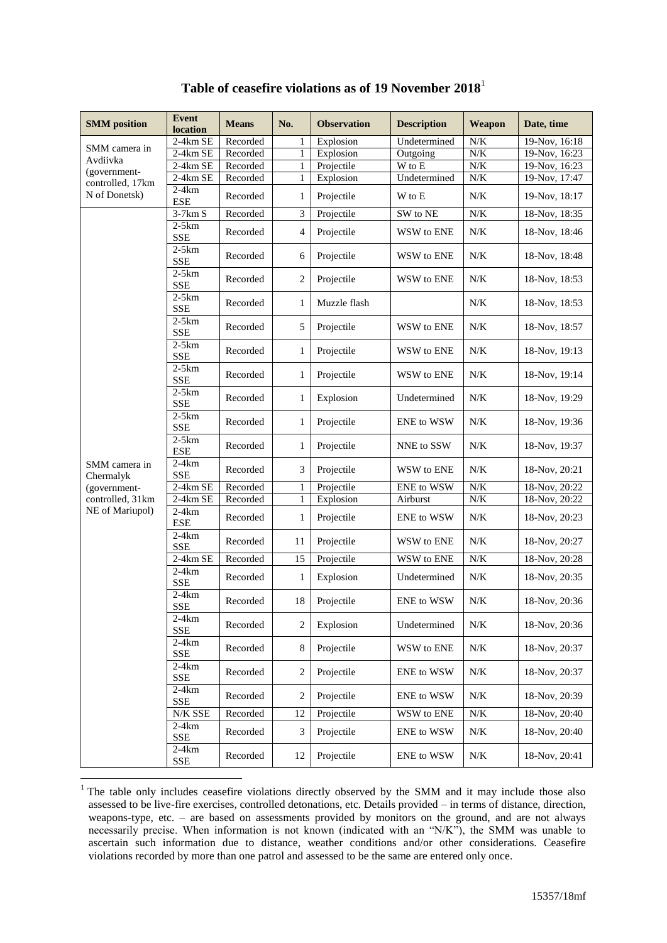| <b>SMM</b> position        | <b>Event</b><br>location | <b>Means</b> | No.            | <b>Observation</b> | <b>Description</b>               | Weapon    | Date, time      |
|----------------------------|--------------------------|--------------|----------------|--------------------|----------------------------------|-----------|-----------------|
| SMM camera in              | 2-4km SE                 | Recorded     | $\mathbf{1}$   | Explosion          | Undetermined                     | N/K       | $19-Nov, 16:18$ |
| Avdiivka                   | 2-4km SE                 | Recorded     | 1              | Explosion          | Outgoing                         | N/K       | 19-Nov, 16:23   |
| (government-               | 2-4km SE                 | Recorded     | $\mathbf{1}$   | Projectile         | $\overline{W}$ to $\overline{E}$ | N/K       | 19-Nov, 16:23   |
| controlled, 17km           | $2-4km$ SE               | Recorded     | 1              | Explosion          | Undetermined                     | N/K       | 19-Nov, 17:47   |
| N of Donetsk)              | $2-4km$<br><b>ESE</b>    | Recorded     | 1              | Projectile         | W to E                           | N/K       | 19-Nov, 18:17   |
|                            | $3-7km S$                | Recorded     | 3              | Projectile         | SW to NE                         | $N/K$     | 18-Nov, 18:35   |
|                            | $2-5km$<br><b>SSE</b>    | Recorded     | $\overline{4}$ | Projectile         | WSW to ENE                       | N/K       | 18-Nov, 18:46   |
|                            | $2-5km$<br><b>SSE</b>    | Recorded     | 6              | Projectile         | WSW to ENE                       | N/K       | 18-Nov, 18:48   |
|                            | $2-5km$<br><b>SSE</b>    | Recorded     | 2              | Projectile         | WSW to ENE                       | N/K       | 18-Nov, 18:53   |
|                            | $2-5km$<br><b>SSE</b>    | Recorded     | 1              | Muzzle flash       |                                  | N/K       | 18-Nov, 18:53   |
|                            | $2-5km$<br><b>SSE</b>    | Recorded     | 5              | Projectile         | WSW to ENE                       | N/K       | 18-Nov, 18:57   |
|                            | $2-5km$<br><b>SSE</b>    | Recorded     | $\mathbf{1}$   | Projectile         | WSW to ENE                       | N/K       | 18-Nov, 19:13   |
|                            | $2-5km$<br><b>SSE</b>    | Recorded     | $\mathbf{1}$   | Projectile         | WSW to ENE                       | N/K       | 18-Nov, 19:14   |
|                            | $2-5km$<br><b>SSE</b>    | Recorded     | $\mathbf{1}$   | Explosion          | Undetermined                     | $N\!/\!K$ | 18-Nov, 19:29   |
|                            | $2-5km$<br><b>SSE</b>    | Recorded     | 1              | Projectile         | <b>ENE</b> to WSW                | N/K       | 18-Nov, 19:36   |
|                            | $2-5km$<br><b>ESE</b>    | Recorded     | 1              | Projectile         | NNE to SSW                       | N/K       | 18-Nov, 19:37   |
| SMM camera in<br>Chermalyk | $2-4km$<br><b>SSE</b>    | Recorded     | 3              | Projectile         | WSW to ENE                       | $N\!/\!K$ | 18-Nov, 20:21   |
| (government-               | 2-4km SE                 | Recorded     | $\mathbf{1}$   | Projectile         | ENE to WSW                       | N/K       | 18-Nov, 20:22   |
| controlled, 31km           | 2-4km SE                 | Recorded     | $\mathbf{1}$   | Explosion          | Airburst                         | N/K       | 18-Nov, 20:22   |
| NE of Mariupol)            | $2-4km$<br><b>ESE</b>    | Recorded     | $\mathbf{1}$   | Projectile         | <b>ENE</b> to WSW                | N/K       | 18-Nov, 20:23   |
|                            | $2-4km$<br><b>SSE</b>    | Recorded     | 11             | Projectile         | WSW to ENE                       | N/K       | 18-Nov, 20:27   |
|                            | 2-4km SE                 | Recorded     | 15             | Projectile         | WSW to ENE                       | N/K       | 18-Nov, 20:28   |
|                            | $2-4km$<br><b>SSE</b>    | Recorded     | $\mathbf{1}$   | Explosion          | Undetermined                     | $N\!/\!K$ | 18-Nov, 20:35   |
|                            | $2-4km$<br><b>SSE</b>    | Recorded     | 18             | Projectile         | <b>ENE</b> to WSW                | N/K       | 18-Nov, 20:36   |
|                            | $2-4km$<br><b>SSE</b>    | Recorded     | $\mathbf{2}$   | Explosion          | Undetermined                     | $N\!/\!K$ | 18-Nov, 20:36   |
|                            | $2-4km$<br><b>SSE</b>    | Recorded     | $\,8\,$        | Projectile         | WSW to ENE                       | $N\!/\!K$ | 18-Nov, 20:37   |
|                            | $2-4km$<br>${\rm SSE}$   | Recorded     | $\overline{2}$ | Projectile         | ENE to WSW                       | $N\!/\!K$ | 18-Nov, 20:37   |
|                            | $2-4km$<br><b>SSE</b>    | Recorded     | 2              | Projectile         | ENE to WSW                       | $N\!/\!K$ | 18-Nov, 20:39   |
|                            | N/K SSE                  | Recorded     | 12             | Projectile         | WSW to ENE                       | $N\!/\!K$ | 18-Nov, 20:40   |
|                            | $2-4km$<br>${\rm SSE}$   | Recorded     | $\mathfrak{Z}$ | Projectile         | ENE to WSW                       | $N\!/\!K$ | 18-Nov, 20:40   |
|                            | $2-4km$<br>SSE           | Recorded     | 12             | Projectile         | ENE to WSW                       | N/K       | 18-Nov, 20:41   |

## **Table of ceasefire violations as of 19 November 2018**<sup>1</sup>

1

<sup>&</sup>lt;sup>1</sup> The table only includes ceasefire violations directly observed by the SMM and it may include those also assessed to be live-fire exercises, controlled detonations, etc. Details provided – in terms of distance, direction, weapons-type, etc. – are based on assessments provided by monitors on the ground, and are not always necessarily precise. When information is not known (indicated with an "N/K"), the SMM was unable to ascertain such information due to distance, weather conditions and/or other considerations. Ceasefire violations recorded by more than one patrol and assessed to be the same are entered only once.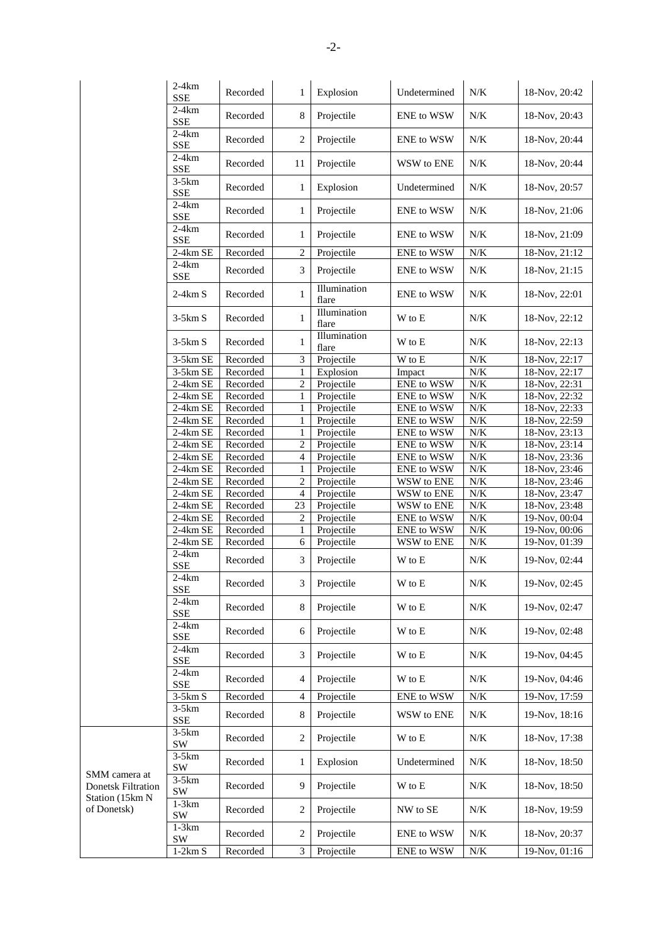|                                            | $2-4km$<br><b>SSE</b>               | Recorded          | 1              | Explosion             | Undetermined               | N/K       | 18-Nov, 20:42   |
|--------------------------------------------|-------------------------------------|-------------------|----------------|-----------------------|----------------------------|-----------|-----------------|
|                                            | $2-4km$<br><b>SSE</b>               | Recorded          | 8              | Projectile            | <b>ENE</b> to WSW          | N/K       | 18-Nov, 20:43   |
|                                            | $2-4km$                             | Recorded          | $\overline{2}$ | Projectile            | ENE to WSW                 | N/K       | 18-Nov, 20:44   |
|                                            | <b>SSE</b><br>$2-4km$               | Recorded          | 11             | Projectile            | WSW to ENE                 | N/K       | 18-Nov, 20:44   |
|                                            | <b>SSE</b><br>$3-5km$<br><b>SSE</b> | Recorded          | $\mathbf{1}$   | Explosion             | Undetermined               | N/K       | 18-Nov, 20:57   |
|                                            | $2-4km$<br><b>SSE</b>               | Recorded          | 1              | Projectile            | ENE to WSW                 | N/K       | 18-Nov, 21:06   |
|                                            | $2-4km$                             | Recorded          | 1              | Projectile            | ENE to WSW                 | N/K       | 18-Nov, 21:09   |
|                                            | <b>SSE</b><br>2-4km SE              | Recorded          | $\sqrt{2}$     | Projectile            | ENE to WSW                 | $N\!/\!K$ | 18-Nov, 21:12   |
|                                            | $2-4km$                             |                   |                |                       |                            |           |                 |
|                                            | <b>SSE</b>                          | Recorded          | 3              | Projectile            | ENE to WSW                 | N/K       | 18-Nov, 21:15   |
|                                            | $2-4km S$                           | Recorded          | $\mathbf{1}$   | Illumination<br>flare | ENE to WSW                 | N/K       | 18-Nov, 22:01   |
|                                            | $3-5km S$                           | Recorded          | 1              | Illumination<br>flare | W to E                     | N/K       | 18-Nov, 22:12   |
|                                            | $3-5km S$                           | Recorded          | 1              | Illumination<br>flare | W to E                     | N/K       | 18-Nov, 22:13   |
|                                            | 3-5km SE                            | Recorded          | $\mathfrak{Z}$ | Projectile            | W to E                     | $N\!/\!K$ | 18-Nov, 22:17   |
|                                            | 3-5km SE                            | Recorded          | $\mathbf{1}$   | Explosion             | Impact                     | $N\!/\!K$ | 18-Nov, 22:17   |
|                                            | 2-4km SE                            | Recorded          | 2              | Projectile            | ENE to WSW                 | $N\!/\!K$ | 18-Nov, 22:31   |
|                                            | 2-4km SE                            | Recorded          | 1              | Projectile            | ENE to WSW                 | N/K       | 18-Nov, 22:32   |
|                                            | 2-4km SE                            | Recorded          | $\mathbf{1}$   | Projectile            | ENE to WSW                 | $N\!/\!K$ | 18-Nov, 22:33   |
|                                            | 2-4km SE                            | Recorded          | $\mathbf{1}$   | Projectile            | ENE to WSW                 | $N\!/\!K$ | 18-Nov, 22:59   |
|                                            | 2-4km SE                            | Recorded          | $\mathbf{1}$   | Projectile            | ENE to WSW                 | $N\!/\!K$ | 18-Nov, 23:13   |
|                                            | 2-4km SE                            | Recorded          | 2              | Projectile            | ENE to WSW                 | N/K       | 18-Nov, 23:14   |
|                                            | 2-4km SE                            | Recorded          | $\overline{4}$ | Projectile            | ENE to WSW                 | N/K       | 18-Nov, 23:36   |
|                                            | $2-4km$ SE                          | Recorded          | $\mathbf{1}$   | Projectile            | ENE to WSW                 | $N\!/\!K$ | 18-Nov, 23:46   |
|                                            | 2-4km SE                            | Recorded          | $\sqrt{2}$     | Projectile            | WSW to ENE                 | N/K       | 18-Nov, 23:46   |
|                                            | 2-4km SE                            | Recorded          | $\overline{4}$ | Projectile            | WSW to ENE                 | N/K       | 18-Nov, 23:47   |
|                                            | 2-4km SE                            | Recorded          | 23             | Projectile            | WSW to ENE                 | $N\!/\!K$ | $18-Nov, 23:48$ |
|                                            | 2-4km SE                            | Recorded          | $\overline{c}$ | Projectile            | ENE to WSW                 | $N\!/\!K$ | 19-Nov, 00:04   |
|                                            | 2-4km SE                            | Recorded          |                | Projectile            | ENE to WSW                 | $N/K$     | 19-Nov, 00:06   |
|                                            | 2-4km SE                            |                   | 1<br>6         |                       |                            | $N\!/\!K$ | $19-Nov, 01:39$ |
|                                            | $2-4km$                             | Recorded          |                | Projectile            | WSW to ENE                 |           |                 |
|                                            | <b>SSE</b>                          | Recorded          | 3              | Projectile            | W to E                     | N/K       | 19-Nov, 02:44   |
|                                            | $2-4km$<br><b>SSE</b>               | $\mbox{Recorded}$ | $\mathfrak{Z}$ | Projectile            | $\mathbf W$ to $\mathbf E$ | $N\!/\!K$ | 19-Nov, 02:45   |
|                                            | $2-4km$<br>SSE                      | Recorded          | 8              | Projectile            | W to E                     | $N\!/\!K$ | 19-Nov, 02:47   |
|                                            | $2-4km$<br>SSE                      | Recorded          | 6              | Projectile            | W to E                     | $N\!/\!K$ | 19-Nov, 02:48   |
|                                            | $2-4km$<br><b>SSE</b>               | Recorded          | 3              | Projectile            | W to E                     | N/K       | 19-Nov, 04:45   |
|                                            | $2-4km$<br><b>SSE</b>               | Recorded          | $\overline{4}$ | Projectile            | W to E                     | N/K       | 19-Nov, 04:46   |
|                                            | $3-5km S$                           | Recorded          | $\overline{4}$ | Projectile            | ENE to WSW                 | $N\!/\!K$ | 19-Nov, 17:59   |
|                                            | $3-5km$                             |                   |                |                       |                            |           |                 |
|                                            | <b>SSE</b>                          | Recorded          | 8              | Projectile            | WSW to ENE                 | N/K       | 19-Nov, 18:16   |
|                                            | $3-5km$<br>SW                       | Recorded          | 2              | Projectile            | W to E                     | $N\!/\!K$ | 18-Nov, 17:38   |
|                                            | $3-5km$<br>SW                       | Recorded          | 1              | Explosion             | Undetermined               | N/K       | 18-Nov, 18:50   |
| SMM camera at<br><b>Donetsk Filtration</b> | $3-5km$<br>SW                       | Recorded          | 9              | Projectile            | W to E                     | N/K       | 18-Nov, 18:50   |
| Station (15km N<br>of Donetsk)             | $1-3km$<br>SW                       | Recorded          | $\overline{c}$ | Projectile            | NW to SE                   | N/K       | 18-Nov, 19:59   |
|                                            | $1-3km$<br>SW                       | Recorded          | 2              | Projectile            | ENE to WSW                 | N/K       | 18-Nov, 20:37   |
|                                            | $1-2km S$                           | Recorded          | $\overline{3}$ | Projectile            | ENE to WSW                 | $N\!/\!K$ | 19-Nov, 01:16   |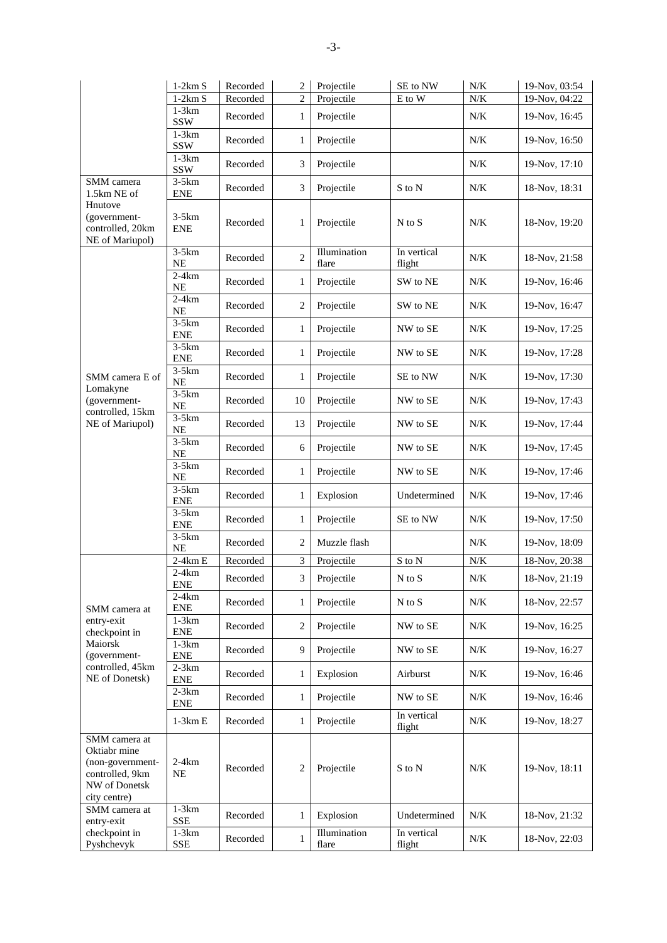|                                                                                                       | $1-2km S$              | Recorded | $\overline{c}$ | Projectile            | SE to NW              | N/K       | 19-Nov, 03:54 |
|-------------------------------------------------------------------------------------------------------|------------------------|----------|----------------|-----------------------|-----------------------|-----------|---------------|
|                                                                                                       | $1-2km S$<br>$1-3km$   | Recorded | $\overline{c}$ | Projectile            | E to W                | N/K       | 19-Nov, 04:22 |
|                                                                                                       | <b>SSW</b>             | Recorded | 1              | Projectile            |                       | $N/K$     | 19-Nov, 16:45 |
|                                                                                                       | $1-3km$<br><b>SSW</b>  | Recorded | 1              | Projectile            |                       | N/K       | 19-Nov, 16:50 |
|                                                                                                       | $1-3km$<br><b>SSW</b>  | Recorded | 3              | Projectile            |                       | N/K       | 19-Nov, 17:10 |
| SMM camera<br>1.5km NE of                                                                             | $3-5km$<br><b>ENE</b>  | Recorded | 3              | Projectile            | S to N                | N/K       | 18-Nov, 18:31 |
| Hnutove<br>(government-<br>controlled, 20km<br>NE of Mariupol)                                        | $3-5km$<br><b>ENE</b>  | Recorded | $\mathbf{1}$   | Projectile            | $N$ to $S$            | N/K       | 18-Nov, 19:20 |
|                                                                                                       | $3-5km$<br>NE          | Recorded | $\overline{2}$ | Illumination<br>flare | In vertical<br>flight | N/K       | 18-Nov, 21:58 |
|                                                                                                       | $2-4km$<br>NE          | Recorded | 1              | Projectile            | SW to NE              | N/K       | 19-Nov, 16:46 |
|                                                                                                       | $2-4km$<br>NE          | Recorded | 2              | Projectile            | SW to NE              | $N\!/\!K$ | 19-Nov, 16:47 |
|                                                                                                       | $3-5km$<br><b>ENE</b>  | Recorded | 1              | Projectile            | NW to SE              | N/K       | 19-Nov, 17:25 |
|                                                                                                       | $3-5km$<br><b>ENE</b>  | Recorded | 1              | Projectile            | NW to SE              | N/K       | 19-Nov, 17:28 |
| SMM camera E of<br>Lomakyne                                                                           | $3-5km$<br>$\rm NE$    | Recorded | 1              | Projectile            | SE to NW              | N/K       | 19-Nov, 17:30 |
| (government-<br>controlled, 15km                                                                      | $3-5km$<br>$\rm NE$    | Recorded | 10             | Projectile            | NW to SE              | N/K       | 19-Nov, 17:43 |
| NE of Mariupol)                                                                                       | $3-5km$<br>$\rm NE$    | Recorded | 13             | Projectile            | NW to SE              | N/K       | 19-Nov, 17:44 |
|                                                                                                       | $3-5km$<br>NE          | Recorded | 6              | Projectile            | NW to SE              | N/K       | 19-Nov, 17:45 |
|                                                                                                       | $3-5km$<br>NE          | Recorded | 1              | Projectile            | NW to SE              | $N/K$     | 19-Nov, 17:46 |
|                                                                                                       | $3-5km$<br><b>ENE</b>  | Recorded | 1              | Explosion             | Undetermined          | N/K       | 19-Nov, 17:46 |
|                                                                                                       | $3-5km$<br><b>ENE</b>  | Recorded | 1              | Projectile            | SE to NW              | $N\!/\!K$ | 19-Nov, 17:50 |
|                                                                                                       | $3-5km$<br>$\rm NE$    | Recorded | $\overline{2}$ | Muzzle flash          |                       | N/K       | 19-Nov, 18:09 |
|                                                                                                       | $2-4km E$              | Recorded | 3              | Projectile            | S to N                | $N\!/\!K$ | 18-Nov, 20:38 |
|                                                                                                       | $2-4km$<br><b>ENE</b>  | Recorded | 3              | Projectile            | N to S                | $N\!/\!K$ | 18-Nov, 21:19 |
| SMM camera at                                                                                         | $2-4km$<br>${\rm ENE}$ | Recorded | 1              | Projectile            | $N$ to $S$            | N/K       | 18-Nov, 22:57 |
| entry-exit<br>checkpoint in                                                                           | $1-3km$<br>ENE         | Recorded | $\overline{2}$ | Projectile            | NW to SE              | $N\!/\!K$ | 19-Nov, 16:25 |
| Maiorsk<br>(government-                                                                               | $1-3km$<br><b>ENE</b>  | Recorded | 9              | Projectile            | NW to SE              | N/K       | 19-Nov, 16:27 |
| controlled, 45km<br>NE of Donetsk)                                                                    | $2-3km$<br>${\rm ENE}$ | Recorded | 1              | Explosion             | Airburst              | N/K       | 19-Nov, 16:46 |
|                                                                                                       | $2-3km$<br>ENE         | Recorded | 1              | Projectile            | NW to SE              | N/K       | 19-Nov, 16:46 |
|                                                                                                       | $1-3km E$              | Recorded | 1              | Projectile            | In vertical<br>flight | $N\!/\!K$ | 19-Nov, 18:27 |
| SMM camera at<br>Oktiabr mine<br>(non-government-<br>controlled, 9km<br>NW of Donetsk<br>city centre) | $2-4km$<br>NE          | Recorded | $\overline{2}$ | Projectile            | S to N                | $N\!/\!K$ | 19-Nov, 18:11 |
| SMM camera at<br>entry-exit                                                                           | $1-3km$<br><b>SSE</b>  | Recorded | 1              | Explosion             | Undetermined          | N/K       | 18-Nov, 21:32 |
| checkpoint in<br>Pyshchevyk                                                                           | $1-3km$<br><b>SSE</b>  | Recorded | $\mathbf{1}$   | Illumination<br>flare | In vertical<br>flight | N/K       | 18-Nov, 22:03 |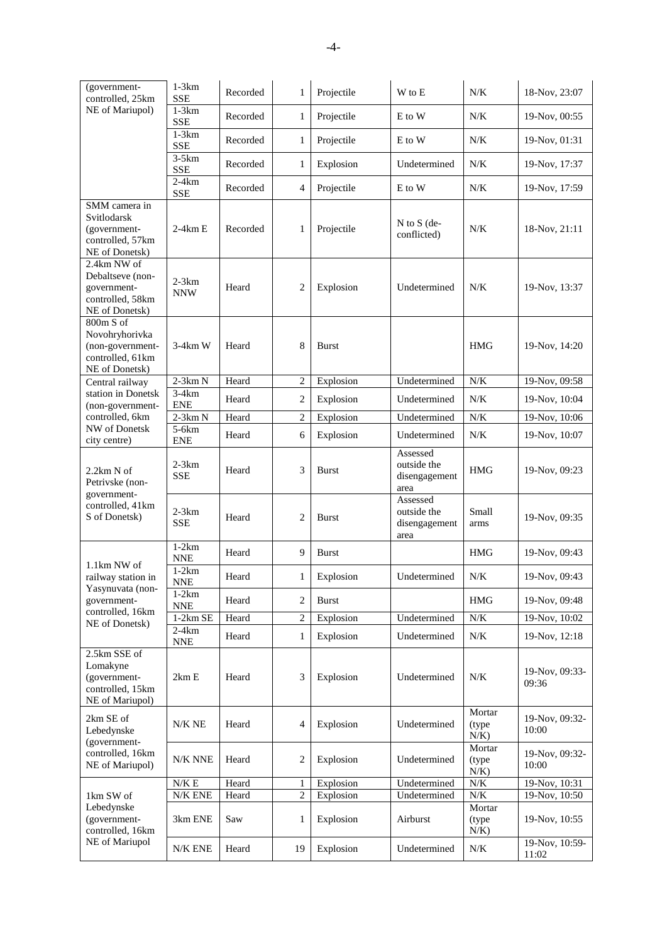| (government-<br>controlled, 25km                                                      | $1-3km$<br><b>SSE</b>                | Recorded | $\mathbf{1}$   | Projectile   | W to E                                           | N/K                         | 18-Nov, 23:07           |
|---------------------------------------------------------------------------------------|--------------------------------------|----------|----------------|--------------|--------------------------------------------------|-----------------------------|-------------------------|
| NE of Mariupol)                                                                       | $1-3km$<br><b>SSE</b>                | Recorded | 1              | Projectile   | E to W                                           | N/K                         | 19-Nov, 00:55           |
|                                                                                       | $1-3km$<br><b>SSE</b>                | Recorded | $\mathbf{1}$   | Projectile   | E to W                                           | N/K                         | 19-Nov, 01:31           |
|                                                                                       | $3-5km$<br><b>SSE</b>                | Recorded | $\mathbf{1}$   | Explosion    | Undetermined                                     | N/K                         | 19-Nov, 17:37           |
|                                                                                       | $2-4km$<br><b>SSE</b>                | Recorded | 4              | Projectile   | E to W                                           | $N\!/\!K$                   | 19-Nov, 17:59           |
| SMM camera in<br>Svitlodarsk<br>(government-<br>controlled, 57km<br>NE of Donetsk)    | $2-4km E$                            | Recorded | $\mathbf{1}$   | Projectile   | $N$ to $S$ (de-<br>conflicted)                   | N/K                         | 18-Nov, 21:11           |
| 2.4km NW of<br>Debaltseve (non-<br>government-<br>controlled, 58km<br>NE of Donetsk)  | $2-3km$<br><b>NNW</b>                | Heard    | 2              | Explosion    | Undetermined                                     | N/K                         | 19-Nov, 13:37           |
| 800m S of<br>Novohryhorivka<br>(non-government-<br>controlled, 61km<br>NE of Donetsk) | $3-4km$ W                            | Heard    | 8              | <b>Burst</b> |                                                  | <b>HMG</b>                  | 19-Nov, 14:20           |
| Central railway                                                                       | $2-3km N$                            | Heard    | $\overline{c}$ | Explosion    | Undetermined                                     | N/K                         | 19-Nov, 09:58           |
| station in Donetsk<br>(non-government-                                                | $3-4km$<br><b>ENE</b>                | Heard    | 2              | Explosion    | Undetermined                                     | N/K                         | 19-Nov, 10:04           |
| controlled, 6km                                                                       | $2-3km N$                            | Heard    | $\overline{c}$ | Explosion    | Undetermined                                     | $N\!/\!K$                   | 19-Nov, 10:06           |
| NW of Donetsk<br>city centre)                                                         | $5-6km$<br><b>ENE</b>                | Heard    | 6              | Explosion    | Undetermined                                     | N/K                         | 19-Nov, 10:07           |
| 2.2km N of<br>Petrivske (non-                                                         | $2-3km$<br><b>SSE</b>                | Heard    | 3              | Burst        | Assessed<br>outside the<br>disengagement<br>area | <b>HMG</b>                  | 19-Nov, 09:23           |
| government-<br>controlled, 41km<br>S of Donetsk)                                      | $2-3km$<br>SSE                       | Heard    | $\overline{2}$ | <b>Burst</b> | Assessed<br>outside the<br>disengagement<br>area | Small<br>arms               | 19-Nov, 09:35           |
|                                                                                       | $1-2km$<br>$\ensuremath{\text{NNE}}$ | Heard    | 9              | <b>Burst</b> |                                                  | <b>HMG</b>                  | 19-Nov, 09:43           |
| 1.1km NW of<br>railway station in                                                     | $1-2km$<br><b>NNE</b>                | Heard    | $\mathbf{1}$   | Explosion    | Undetermined                                     | N/K                         | 19-Nov, 09:43           |
| Yasynuvata (non-<br>government-                                                       | $1-2km$<br><b>NNE</b>                | Heard    | 2              | Burst        |                                                  | <b>HMG</b>                  | 19-Nov, 09:48           |
| controlled, 16km                                                                      | $1-2km$ SE                           | Heard    | $\overline{2}$ | Explosion    | Undetermined                                     | $N/K$                       | 19-Nov, 10:02           |
| NE of Donetsk)                                                                        | $2-4km$<br><b>NNE</b>                | Heard    | $\mathbf{1}$   | Explosion    | Undetermined                                     | $N\!/\!K$                   | 19-Nov, 12:18           |
| 2.5km SSE of<br>Lomakyne<br>(government-<br>controlled, 15km<br>NE of Mariupol)       | 2km E                                | Heard    | 3              | Explosion    | Undetermined                                     | N/K                         | 19-Nov, 09:33-<br>09:36 |
| 2km SE of<br>Lebedynske<br>(government-                                               | $N/K$ NE                             | Heard    | $\overline{4}$ | Explosion    | Undetermined                                     | Mortar<br>(type<br>$N/K$ )  | 19-Nov, 09:32-<br>10:00 |
| controlled, 16km<br>NE of Mariupol)                                                   | N/K NNE                              | Heard    | 2              | Explosion    | Undetermined                                     | Mortar<br>(type)<br>$N/K$ ) | 19-Nov, 09:32-<br>10:00 |
|                                                                                       | N/K E                                | Heard    | $\mathbf{1}$   | Explosion    | Undetermined                                     | $N\!/\!K$                   | 19-Nov, 10:31           |
| 1km SW of                                                                             | ${\rm N/K}$ ENE                      | Heard    | 2              | Explosion    | Undetermined                                     | $N\!/\!K$                   | 19-Nov, 10:50           |
| Lebedynske<br>(government-<br>controlled, 16km                                        | 3km ENE                              | Saw      | 1              | Explosion    | Airburst                                         | Mortar<br>(type)<br>$N/K$ ) | 19-Nov, 10:55           |
| NE of Mariupol                                                                        | N/K ENE                              | Heard    | 19             | Explosion    | Undetermined                                     | N/K                         | 19-Nov, 10:59-<br>11:02 |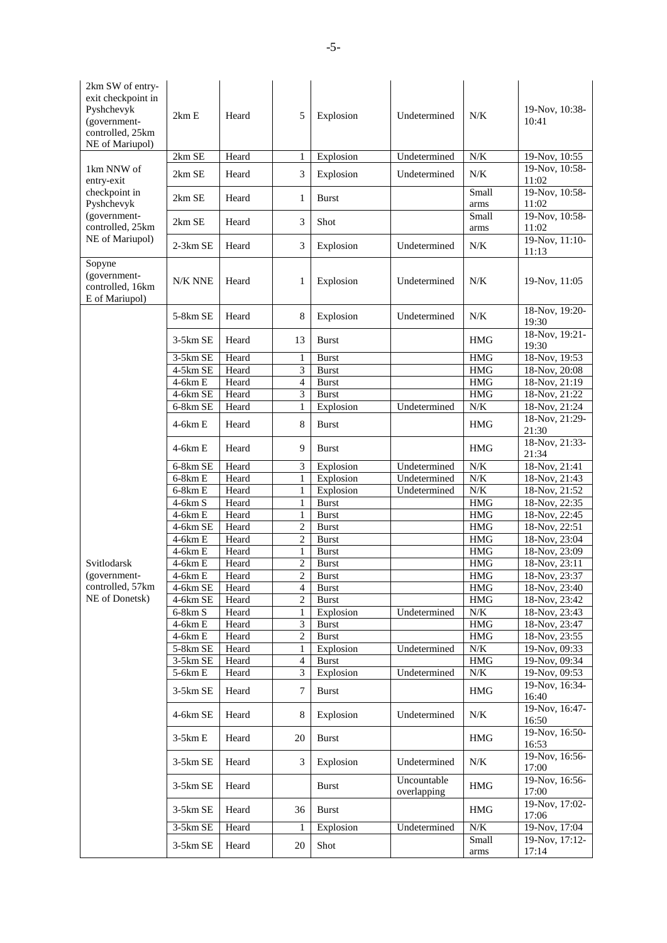| 2km SW of entry-<br>exit checkpoint in<br>Pyshchevyk<br>(government-<br>controlled, 25km<br>NE of Mariupol) | 2km E                   | Heard | 5              | Explosion    | Undetermined               | N/K           | 19-Nov, 10:38-<br>10:41 |
|-------------------------------------------------------------------------------------------------------------|-------------------------|-------|----------------|--------------|----------------------------|---------------|-------------------------|
|                                                                                                             | 2km SE                  | Heard | 1              | Explosion    | Undetermined               | N/K           | 19-Nov, 10:55           |
| 1km NNW of<br>entry-exit                                                                                    | 2km SE                  | Heard | 3              | Explosion    | Undetermined               | N/K           | 19-Nov, 10:58-<br>11:02 |
| checkpoint in<br>Pyshchevyk                                                                                 | 2km SE                  | Heard | $\mathbf{1}$   | Burst        |                            | Small<br>arms | 19-Nov, 10:58-<br>11:02 |
| (government-<br>controlled, 25km                                                                            | 2km SE                  | Heard | 3              | Shot         |                            | Small<br>arms | 19-Nov, 10:58-<br>11:02 |
| NE of Mariupol)                                                                                             | $2-3km$ SE              | Heard | 3              | Explosion    | Undetermined               | N/K           | 19-Nov, 11:10-<br>11:13 |
| Sopyne<br>(government-<br>controlled, 16km<br>E of Mariupol)                                                | N/K NNE                 | Heard | 1              | Explosion    | Undetermined               | N/K           | 19-Nov, 11:05           |
|                                                                                                             | 5-8km SE                | Heard | 8              | Explosion    | Undetermined               | N/K           | 18-Nov, 19:20-<br>19:30 |
|                                                                                                             | $3-5km$ SE              | Heard | 13             | <b>Burst</b> |                            | <b>HMG</b>    | 18-Nov, 19:21-<br>19:30 |
|                                                                                                             | 3-5km SE                | Heard | $\mathbf{1}$   | <b>Burst</b> |                            | <b>HMG</b>    | 18-Nov, 19:53           |
|                                                                                                             | 4-5km SE                | Heard | 3              | <b>Burst</b> |                            | <b>HMG</b>    | 18-Nov, 20:08           |
|                                                                                                             | 4-6km E                 | Heard | $\overline{4}$ | <b>Burst</b> |                            | <b>HMG</b>    | 18-Nov, 21:19           |
|                                                                                                             | 4-6km SE                | Heard | 3              | <b>Burst</b> |                            | <b>HMG</b>    | 18-Nov, 21:22           |
|                                                                                                             | 6-8km SE                | Heard | 1              | Explosion    | Undetermined               | $N/K$         | 18-Nov, 21:24           |
|                                                                                                             | $4-6km E$               | Heard | 8              | <b>Burst</b> |                            | <b>HMG</b>    | 18-Nov, 21:29-<br>21:30 |
|                                                                                                             | $4-6km E$               | Heard | 9              | <b>Burst</b> |                            | <b>HMG</b>    | 18-Nov, 21:33-<br>21:34 |
|                                                                                                             | 6-8km SE                | Heard | 3              | Explosion    | Undetermined               | N/K           | 18-Nov, 21:41           |
|                                                                                                             | $6-8km E$               | Heard | $\mathbf{1}$   | Explosion    | Undetermined               | $N\!/\!K$     | 18-Nov, 21:43           |
|                                                                                                             | $6-8km E$               | Heard | $\mathbf{1}$   | Explosion    | Undetermined               | N/K           | 18-Nov, 21:52           |
|                                                                                                             | $4-6km S$               | Heard | $\mathbf{1}$   | <b>Burst</b> |                            | <b>HMG</b>    | 18-Nov, 22:35           |
|                                                                                                             | $4-6km E$               | Heard | $\mathbf{1}$   | <b>Burst</b> |                            | <b>HMG</b>    | 18-Nov, 22:45           |
|                                                                                                             | 4-6km SE                | Heard | $\overline{2}$ | <b>Burst</b> |                            | <b>HMG</b>    | 18-Nov, 22:51           |
|                                                                                                             | $4-6km E$               | Heard | $\overline{2}$ | <b>Burst</b> |                            | <b>HMG</b>    | 18-Nov, 23:04           |
|                                                                                                             | $\overline{4}$ -6 $kmE$ | Heard | $\mathbf{1}$   | <b>Burst</b> |                            | <b>HMG</b>    | 18-Nov, 23:09           |
| Svitlodarsk                                                                                                 | $4-6km E$               | Heard | $\overline{2}$ | <b>Burst</b> |                            | <b>HMG</b>    | 18-Nov, 23:11           |
| (government-                                                                                                | 4-6km E                 | Heard | $\overline{c}$ | <b>Burst</b> |                            | <b>HMG</b>    | 18-Nov, 23:37           |
| controlled, 57km                                                                                            |                         |       | 4              |              |                            | <b>HMG</b>    | 18-Nov, 23:40           |
| NE of Donetsk)                                                                                              | 4-6km SE                | Heard |                | <b>Burst</b> |                            |               |                         |
|                                                                                                             | 4-6km SE                | Heard | $\overline{c}$ | <b>Burst</b> |                            | $\rm{HMG}$    | $18-Nov, 23:42$         |
|                                                                                                             | $6-8km S$               | Heard | $\mathbf{1}$   | Explosion    | Undetermined               | $N\!/\!K$     | $18-Nov, 23:43$         |
|                                                                                                             | 4-6km E                 | Heard | 3              | <b>Burst</b> |                            | <b>HMG</b>    | 18-Nov, 23:47           |
|                                                                                                             | $4-6km E$               | Heard | $\overline{c}$ | <b>Burst</b> |                            | $\rm{HMG}$    | $18-Nov, 23:55$         |
|                                                                                                             | 5-8km SE                | Heard | 1              | Explosion    | Undetermined               | $N/K$         | 19-Nov, 09:33           |
|                                                                                                             | 3-5km SE                | Heard | 4              | <b>Burst</b> |                            | <b>HMG</b>    | 19-Nov, 09:34           |
|                                                                                                             | $5-6km E$               | Heard | 3              | Explosion    | Undetermined               | N/K           | $19-Nov, 09:53$         |
|                                                                                                             | 3-5km SE                | Heard | 7              | <b>Burst</b> |                            | $\rm{HMG}$    | 19-Nov, 16:34-<br>16:40 |
|                                                                                                             | 4-6km SE                | Heard | 8              | Explosion    | Undetermined               | N/K           | 19-Nov, 16:47-<br>16:50 |
|                                                                                                             | $3-5km E$               | Heard | 20             | <b>Burst</b> |                            | <b>HMG</b>    | 19-Nov, 16:50-<br>16:53 |
|                                                                                                             | 3-5km SE                | Heard | 3              | Explosion    | Undetermined               | N/K           | 19-Nov, 16:56-<br>17:00 |
|                                                                                                             | 3-5km SE                | Heard |                | <b>Burst</b> | Uncountable<br>overlapping | <b>HMG</b>    | 19-Nov, 16:56-<br>17:00 |
|                                                                                                             | 3-5km SE                | Heard | 36             | <b>Burst</b> |                            | <b>HMG</b>    | 19-Nov, 17:02-<br>17:06 |
|                                                                                                             | 3-5km SE                | Heard | 1              | Explosion    | Undetermined               | $N\!/\!K$     | 19-Nov, 17:04           |
|                                                                                                             | 3-5km SE                | Heard | 20             | Shot         |                            | Small<br>arms | 19-Nov, 17:12-<br>17:14 |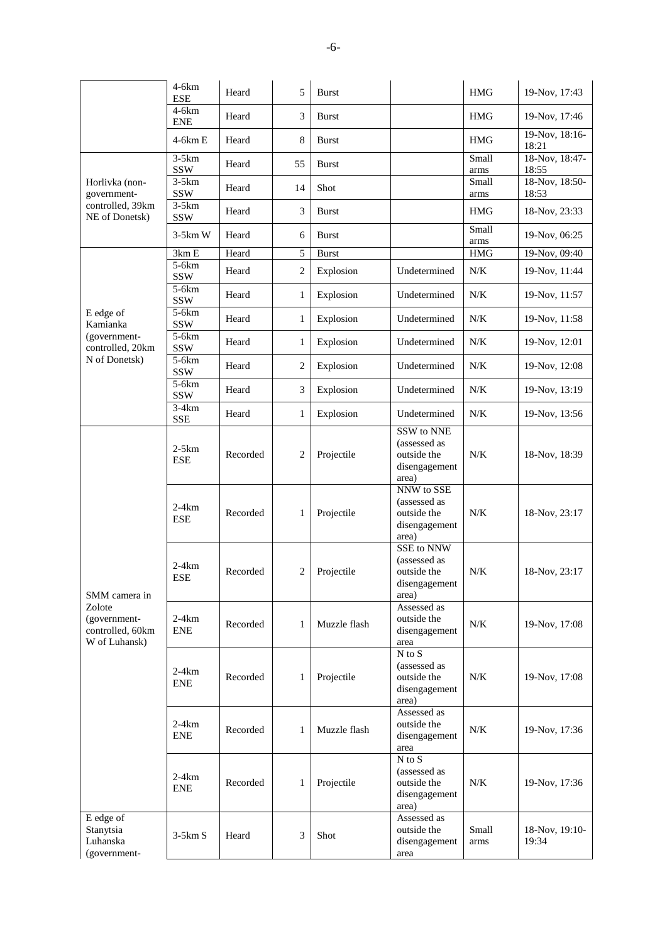|                                                             | $4-6km$<br><b>ESE</b> | Heard    | 5              | <b>Burst</b> |                                                                     | <b>HMG</b>    | 19-Nov, 17:43           |
|-------------------------------------------------------------|-----------------------|----------|----------------|--------------|---------------------------------------------------------------------|---------------|-------------------------|
|                                                             | $4-6km$<br><b>ENE</b> | Heard    | 3              | Burst        |                                                                     | <b>HMG</b>    | 19-Nov, 17:46           |
|                                                             | $4-6km E$             | Heard    | 8              | <b>Burst</b> |                                                                     | <b>HMG</b>    | 19-Nov, 18:16-<br>18:21 |
|                                                             | $3-5km$<br><b>SSW</b> | Heard    | 55             | <b>Burst</b> |                                                                     | Small<br>arms | 18-Nov, 18:47-<br>18:55 |
| Horlivka (non-<br>government-                               | $3-5km$<br><b>SSW</b> | Heard    | 14             | Shot         |                                                                     | Small<br>arms | 18-Nov, 18:50-<br>18:53 |
| controlled, 39km<br>NE of Donetsk)                          | $3-5km$<br><b>SSW</b> | Heard    | 3              | <b>Burst</b> |                                                                     | <b>HMG</b>    | 18-Nov, 23:33           |
|                                                             | $3-5km$ W             | Heard    | 6              | <b>Burst</b> |                                                                     | Small<br>arms | 19-Nov, 06:25           |
|                                                             | 3kmE                  | Heard    | 5              | <b>Burst</b> |                                                                     | <b>HMG</b>    | 19-Nov, 09:40           |
|                                                             | $5-6km$<br><b>SSW</b> | Heard    | 2              | Explosion    | Undetermined                                                        | N/K           | 19-Nov, 11:44           |
|                                                             | 5-6km<br><b>SSW</b>   | Heard    | 1              | Explosion    | Undetermined                                                        | N/K           | 19-Nov, 11:57           |
| E edge of<br>Kamianka                                       | $5-6km$<br><b>SSW</b> | Heard    | 1              | Explosion    | Undetermined                                                        | N/K           | 19-Nov, 11:58           |
| (government-<br>controlled, 20km                            | 5-6km<br><b>SSW</b>   | Heard    | $\mathbf{1}$   | Explosion    | Undetermined                                                        | N/K           | 19-Nov, 12:01           |
| N of Donetsk)                                               | 5-6km<br>SSW          | Heard    | 2              | Explosion    | Undetermined                                                        | N/K           | 19-Nov, 12:08           |
|                                                             | $5-6km$<br><b>SSW</b> | Heard    | 3              | Explosion    | Undetermined                                                        | N/K           | 19-Nov, 13:19           |
|                                                             | $3-4km$<br><b>SSE</b> | Heard    | 1              | Explosion    | Undetermined                                                        | N/K           | 19-Nov, 13:56           |
| SMM camera in                                               | $2-5km$<br><b>ESE</b> | Recorded | 2              | Projectile   | SSW to NNE<br>(assessed as<br>outside the<br>disengagement<br>area) | N/K           | 18-Nov, 18:39           |
|                                                             | $2-4km$<br><b>ESE</b> | Recorded | $\mathbf{1}$   | Projectile   | NNW to SSE<br>(assessed as<br>outside the<br>disengagement<br>area) | N/K           | 18-Nov, 23:17           |
|                                                             | 2-4km<br><b>ESE</b>   | Recorded | $\overline{c}$ | Projectile   | SSE to NNW<br>(assessed as<br>outside the<br>disengagement<br>area) | N/K           | 18-Nov, 23:17           |
| Zolote<br>(government-<br>controlled, 60km<br>W of Luhansk) | $2-4km$<br><b>ENE</b> | Recorded | $\mathbf{1}$   | Muzzle flash | Assessed as<br>outside the<br>disengagement<br>area                 | $N\!/\!K$     | 19-Nov, 17:08           |
|                                                             | $2-4km$<br><b>ENE</b> | Recorded | $\mathbf{1}$   | Projectile   | $N$ to $S$<br>(assessed as<br>outside the<br>disengagement<br>area) | N/K           | 19-Nov, 17:08           |
|                                                             | $2-4km$<br><b>ENE</b> | Recorded | 1              | Muzzle flash | Assessed as<br>outside the<br>disengagement<br>area                 | N/K           | 19-Nov, 17:36           |
|                                                             | $2-4km$<br><b>ENE</b> | Recorded | $\mathbf{1}$   | Projectile   | $N$ to $S$<br>(assessed as<br>outside the<br>disengagement<br>area) | N/K           | 19-Nov, 17:36           |
| E edge of<br>Stanytsia<br>Luhanska<br>(government-          | $3-5km S$             | Heard    | 3              | Shot         | Assessed as<br>outside the<br>disengagement<br>area                 | Small<br>arms | 18-Nov, 19:10-<br>19:34 |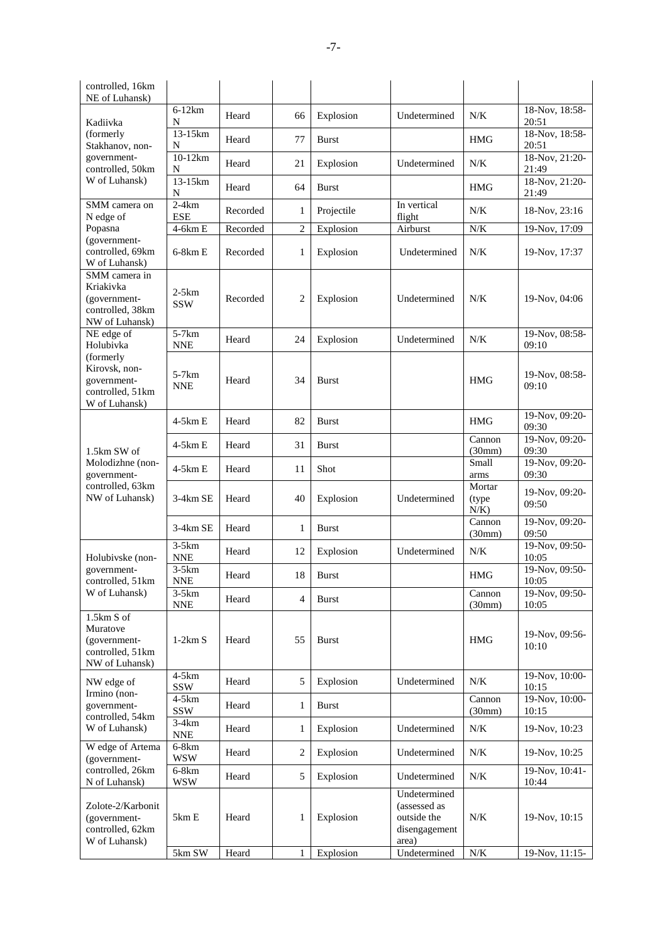| controlled, 16km<br>NE of Luhansk)                                               |                       |          |                |              |                                                                       |                             |                                  |
|----------------------------------------------------------------------------------|-----------------------|----------|----------------|--------------|-----------------------------------------------------------------------|-----------------------------|----------------------------------|
|                                                                                  | $6-12km$              | Heard    | 66             | Explosion    | Undetermined                                                          | N/K                         | 18-Nov, 18:58-                   |
| Kadiivka<br>(formerly<br>Stakhanov, non-                                         | N<br>13-15km<br>N     | Heard    | 77             | <b>Burst</b> |                                                                       | <b>HMG</b>                  | 20:51<br>18-Nov, 18:58-<br>20:51 |
| government-<br>controlled, 50km                                                  | $10-12km$<br>N        | Heard    | 21             | Explosion    | Undetermined                                                          | N/K                         | 18-Nov, 21:20-<br>21:49          |
| W of Luhansk)                                                                    | 13-15km<br>N          | Heard    | 64             | <b>Burst</b> |                                                                       | <b>HMG</b>                  | 18-Nov, 21:20-<br>21:49          |
| SMM camera on<br>N edge of                                                       | $2-4km$<br><b>ESE</b> | Recorded | 1              | Projectile   | In vertical<br>flight                                                 | N/K                         | 18-Nov, 23:16                    |
| Popasna<br>(government-                                                          | 4-6km E               | Recorded | $\overline{2}$ | Explosion    | Airburst                                                              | N/K                         | 19-Nov, 17:09                    |
| controlled, 69km<br>W of Luhansk)                                                | $6-8km E$             | Recorded | 1              | Explosion    | Undetermined                                                          | N/K                         | 19-Nov, 17:37                    |
| SMM camera in<br>Kriakivka<br>(government-<br>controlled, 38km<br>NW of Luhansk) | 2-5km<br><b>SSW</b>   | Recorded | $\overline{2}$ | Explosion    | Undetermined                                                          | N/K                         | 19-Nov, 04:06                    |
| NE edge of<br>Holubivka                                                          | $5-7km$<br><b>NNE</b> | Heard    | 24             | Explosion    | Undetermined                                                          | N/K                         | 19-Nov, 08:58-<br>09:10          |
| (formerly<br>Kirovsk, non-<br>government-<br>controlled, 51km<br>W of Luhansk)   | $5-7km$<br><b>NNE</b> | Heard    | 34             | <b>Burst</b> |                                                                       | <b>HMG</b>                  | 19-Nov, 08:58-<br>09:10          |
|                                                                                  | $4-5km E$             | Heard    | 82             | Burst        |                                                                       | <b>HMG</b>                  | 19-Nov, 09:20-<br>09:30          |
| 1.5km SW of                                                                      | $4-5km E$             | Heard    | 31             | Burst        |                                                                       | Cannon<br>(30mm)            | 19-Nov, 09:20-<br>09:30          |
| Molodizhne (non-<br>government-                                                  | $4-5km E$             | Heard    | 11             | Shot         |                                                                       | Small<br>arms               | 19-Nov, 09:20-<br>09:30          |
| controlled, 63km<br>NW of Luhansk)                                               | 3-4km SE              | Heard    | 40             | Explosion    | Undetermined                                                          | Mortar<br>(type)<br>$N/K$ ) | 19-Nov, 09:20-<br>09:50          |
|                                                                                  | $3-4km$ SE            | Heard    | 1              | Burst        |                                                                       | Cannon<br>(30mm)            | 19-Nov, 09:20-<br>09:50          |
| Holubivske (non-                                                                 | $3-5km$<br><b>NNE</b> | Heard    | 12             | Explosion    | Undetermined                                                          | N/K                         | 19-Nov, 09:50-<br>10:05          |
| government-<br>controlled, 51km                                                  | $3-5km$<br><b>NNE</b> | Heard    | 18             | Burst        |                                                                       | <b>HMG</b>                  | 19-Nov, 09:50-<br>10:05          |
| W of Luhansk)                                                                    | $3-5km$<br><b>NNE</b> | Heard    | 4              | Burst        |                                                                       | Cannon<br>(30mm)            | 19-Nov, 09:50-<br>10:05          |
| 1.5km S of<br>Muratove<br>(government-<br>controlled, 51km<br>NW of Luhansk)     | $1-2km S$             | Heard    | 55             | <b>Burst</b> |                                                                       | <b>HMG</b>                  | 19-Nov, 09:56-<br>10:10          |
| NW edge of                                                                       | $4-5km$<br>SSW        | Heard    | 5              | Explosion    | Undetermined                                                          | N/K                         | 19-Nov, 10:00-<br>10:15          |
| Irmino (non-<br>government-<br>controlled, 54km                                  | $4-5km$<br>SSW        | Heard    | 1              | <b>Burst</b> |                                                                       | Cannon<br>(30mm)            | 19-Nov, 10:00-<br>10:15          |
| W of Luhansk)                                                                    | $3-4km$<br><b>NNE</b> | Heard    | 1              | Explosion    | Undetermined                                                          | N/K                         | 19-Nov, 10:23                    |
| W edge of Artema<br>(government-                                                 | $6-8km$<br><b>WSW</b> | Heard    | $\overline{2}$ | Explosion    | Undetermined                                                          | N/K                         | 19-Nov, 10:25                    |
| controlled, 26km<br>N of Luhansk)                                                | $6-8km$<br><b>WSW</b> | Heard    | 5              | Explosion    | Undetermined                                                          | N/K                         | 19-Nov, 10:41-<br>10:44          |
| Zolote-2/Karbonit<br>(government-<br>controlled, 62km<br>W of Luhansk)           | 5km E                 | Heard    | 1              | Explosion    | Undetermined<br>(assessed as<br>outside the<br>disengagement<br>area) | N/K                         | 19-Nov, 10:15                    |
|                                                                                  | 5km SW                | Heard    | 1              | Explosion    | Undetermined                                                          | $N\!/\!K$                   | 19-Nov, 11:15-                   |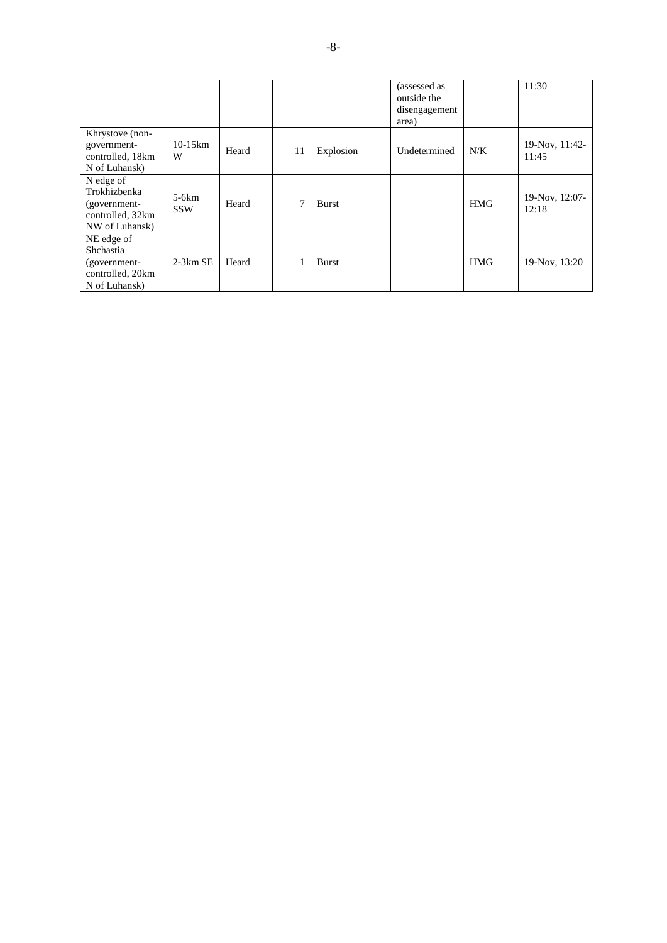|                                                                                 |                       |       |    |              | (assessed as<br>outside the<br>disengagement<br>area) |            | 11:30                   |
|---------------------------------------------------------------------------------|-----------------------|-------|----|--------------|-------------------------------------------------------|------------|-------------------------|
| Khrystove (non-<br>government-<br>controlled, 18km<br>N of Luhansk)             | $10-15km$<br>W        | Heard | 11 | Explosion    | Undetermined                                          | N/K        | 19-Nov, 11:42-<br>11:45 |
| N edge of<br>Trokhizbenka<br>(government-<br>controlled, 32km<br>NW of Luhansk) | $5-6km$<br><b>SSW</b> | Heard | 7  | <b>Burst</b> |                                                       | <b>HMG</b> | 19-Nov, 12:07-<br>12:18 |
| NE edge of<br>Shchastia<br>(government-<br>controlled, 20km<br>N of Luhansk)    | $2-3km$ SE            | Heard |    | <b>Burst</b> |                                                       | <b>HMG</b> | 19-Nov, 13:20           |